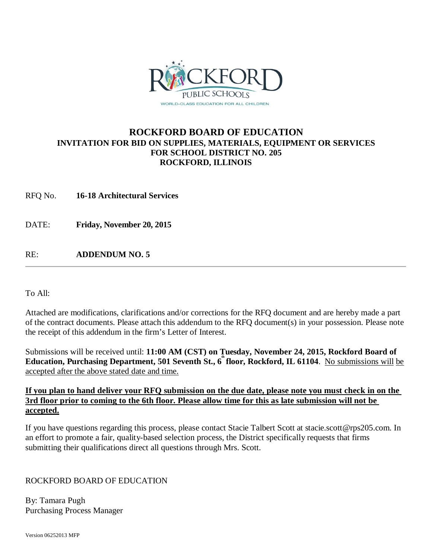

## **ROCKFORD BOARD OF EDUCATION INVITATION FOR BID ON SUPPLIES, MATERIALS, EQUIPMENT OR SERVICES FOR SCHOOL DISTRICT NO. 205 ROCKFORD, ILLINOIS**

RFQ No. **16-18 Architectural Services** 

DATE: **Friday, November 20, 2015**

RE: **ADDENDUM NO. 5**

To All:

Attached are modifications, clarifications and/or corrections for the RFQ document and are hereby made a part of the contract documents. Please attach this addendum to the RFQ document(s) in your possession. Please note the receipt of this addendum in the firm's Letter of Interest.

Submissions will be received until: **11:00 AM (CST) on Tuesday, November 24, 2015, Rockford Board of Education, Purchasing Department, 501 Seventh St., 6<sup>th</sup> floor, Rockford, IL 61104. No submissions will be** accepted after the above stated date and time.

### **If you plan to hand deliver your RFQ submission on the due date, please note you must check in on the 3rd floor prior to coming to the 6th floor. Please allow time for this as late submission will not be accepted.**

If you have questions regarding this process, please contact Stacie Talbert Scott [at stacie.scott@rps205.com.](mailto:stacie.scott@rps205.com) In an effort to promote a fair, quality-based selection process, the District specifically requests that firms submitting their qualifications direct all questions through Mrs. Scott.

### ROCKFORD BOARD OF EDUCATION

By: Tamara Pugh Purchasing Process Manager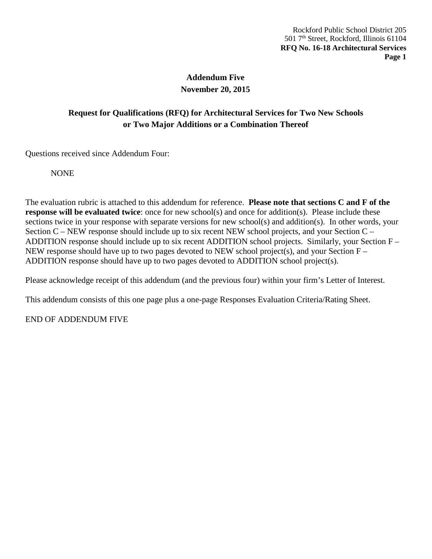## **Addendum Five November 20, 2015**

# **Request for Qualifications (RFQ) for Architectural Services for Two New Schools or Two Major Additions or a Combination Thereof**

Questions received since Addendum Four:

NONE

The evaluation rubric is attached to this addendum for reference. **Please note that sections C and F of the response will be evaluated twice**: once for new school(s) and once for addition(s). Please include these sections twice in your response with separate versions for new school(s) and addition(s). In other words, your Section C – NEW response should include up to six recent NEW school projects, and your Section C – ADDITION response should include up to six recent ADDITION school projects. Similarly, your Section F – NEW response should have up to two pages devoted to NEW school project(s), and your Section F – ADDITION response should have up to two pages devoted to ADDITION school project(s).

Please acknowledge receipt of this addendum (and the previous four) within your firm's Letter of Interest.

This addendum consists of this one page plus a one-page Responses Evaluation Criteria/Rating Sheet.

END OF ADDENDUM FIVE